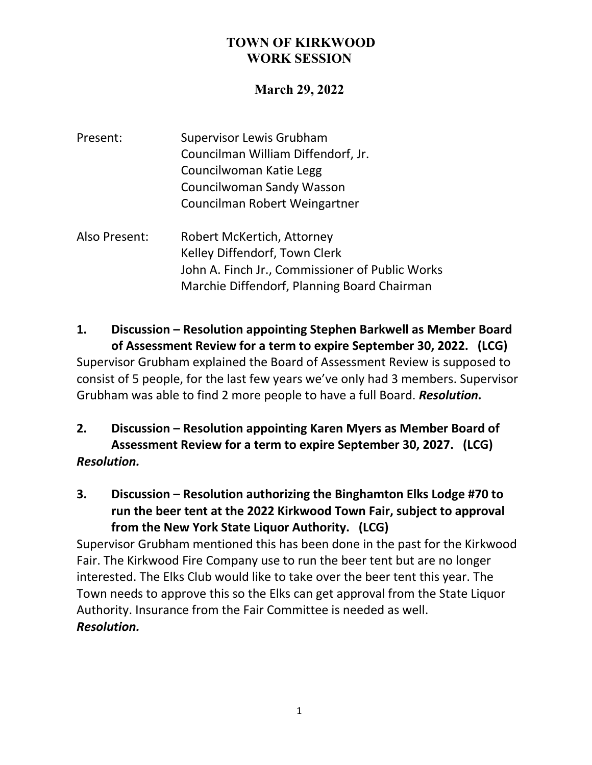## **March 29, 2022**

| Present: | <b>Supervisor Lewis Grubham</b>    |
|----------|------------------------------------|
|          | Councilman William Diffendorf, Jr. |
|          | Councilwoman Katie Legg            |
|          | <b>Councilwoman Sandy Wasson</b>   |
|          | Councilman Robert Weingartner      |

Also Present: Robert McKertich, Attorney Kelley Diffendorf, Town Clerk John A. Finch Jr., Commissioner of Public Works Marchie Diffendorf, Planning Board Chairman

**1. Discussion – Resolution appointing Stephen Barkwell as Member Board of Assessment Review for a term to expire September 30, 2022. (LCG)** Supervisor Grubham explained the Board of Assessment Review is supposed to consist of 5 people, for the last few years we've only had 3 members. Supervisor Grubham was able to find 2 more people to have a full Board. *Resolution.*

- **2. Discussion – Resolution appointing Karen Myers as Member Board of Assessment Review for a term to expire September 30, 2027. (LCG)** *Resolution.*
- **3. Discussion – Resolution authorizing the Binghamton Elks Lodge #70 to run the beer tent at the 2022 Kirkwood Town Fair, subject to approval from the New York State Liquor Authority. (LCG)**

Supervisor Grubham mentioned this has been done in the past for the Kirkwood Fair. The Kirkwood Fire Company use to run the beer tent but are no longer interested. The Elks Club would like to take over the beer tent this year. The Town needs to approve this so the Elks can get approval from the State Liquor Authority. Insurance from the Fair Committee is needed as well. *Resolution.*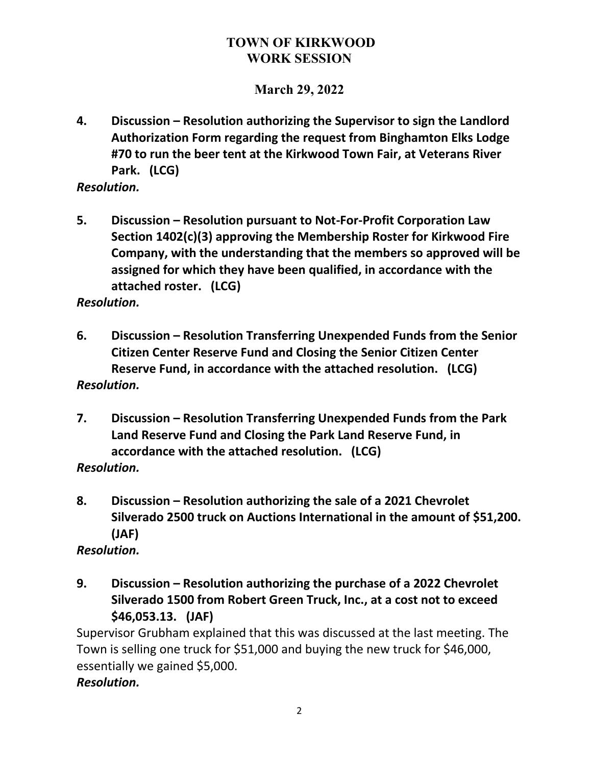# **March 29, 2022**

**4. Discussion – Resolution authorizing the Supervisor to sign the Landlord Authorization Form regarding the request from Binghamton Elks Lodge #70 to run the beer tent at the Kirkwood Town Fair, at Veterans River Park. (LCG)**

#### *Resolution.*

**5. Discussion – Resolution pursuant to Not-For-Profit Corporation Law Section 1402(c)(3) approving the Membership Roster for Kirkwood Fire Company, with the understanding that the members so approved will be assigned for which they have been qualified, in accordance with the attached roster. (LCG)**

*Resolution.*

- **6. Discussion – Resolution Transferring Unexpended Funds from the Senior Citizen Center Reserve Fund and Closing the Senior Citizen Center Reserve Fund, in accordance with the attached resolution. (LCG)** *Resolution.*
- **7. Discussion – Resolution Transferring Unexpended Funds from the Park Land Reserve Fund and Closing the Park Land Reserve Fund, in accordance with the attached resolution. (LCG)**
- *Resolution.*
- **8. Discussion – Resolution authorizing the sale of a 2021 Chevrolet Silverado 2500 truck on Auctions International in the amount of \$51,200. (JAF)**

*Resolution.*

**9. Discussion – Resolution authorizing the purchase of a 2022 Chevrolet Silverado 1500 from Robert Green Truck, Inc., at a cost not to exceed \$46,053.13. (JAF)**

Supervisor Grubham explained that this was discussed at the last meeting. The Town is selling one truck for \$51,000 and buying the new truck for \$46,000, essentially we gained \$5,000.

#### *Resolution.*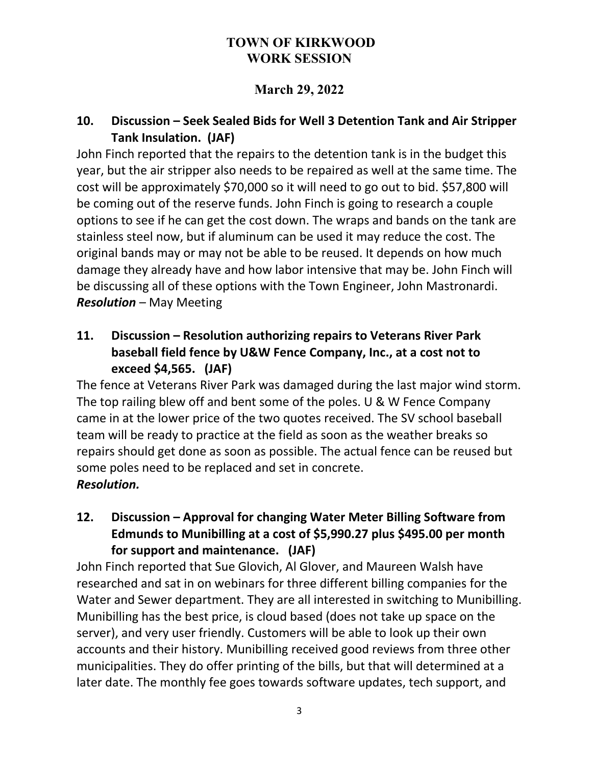# **March 29, 2022**

# **10. Discussion – Seek Sealed Bids for Well 3 Detention Tank and Air Stripper Tank Insulation. (JAF)**

John Finch reported that the repairs to the detention tank is in the budget this year, but the air stripper also needs to be repaired as well at the same time. The cost will be approximately \$70,000 so it will need to go out to bid. \$57,800 will be coming out of the reserve funds. John Finch is going to research a couple options to see if he can get the cost down. The wraps and bands on the tank are stainless steel now, but if aluminum can be used it may reduce the cost. The original bands may or may not be able to be reused. It depends on how much damage they already have and how labor intensive that may be. John Finch will be discussing all of these options with the Town Engineer, John Mastronardi. *Resolution* – May Meeting

# **11. Discussion – Resolution authorizing repairs to Veterans River Park baseball field fence by U&W Fence Company, Inc., at a cost not to exceed \$4,565. (JAF)**

The fence at Veterans River Park was damaged during the last major wind storm. The top railing blew off and bent some of the poles. U & W Fence Company came in at the lower price of the two quotes received. The SV school baseball team will be ready to practice at the field as soon as the weather breaks so repairs should get done as soon as possible. The actual fence can be reused but some poles need to be replaced and set in concrete. *Resolution.*

# **12. Discussion – Approval for changing Water Meter Billing Software from Edmunds to Munibilling at a cost of \$5,990.27 plus \$495.00 per month for support and maintenance. (JAF)**

John Finch reported that Sue Glovich, Al Glover, and Maureen Walsh have researched and sat in on webinars for three different billing companies for the Water and Sewer department. They are all interested in switching to Munibilling. Munibilling has the best price, is cloud based (does not take up space on the server), and very user friendly. Customers will be able to look up their own accounts and their history. Munibilling received good reviews from three other municipalities. They do offer printing of the bills, but that will determined at a later date. The monthly fee goes towards software updates, tech support, and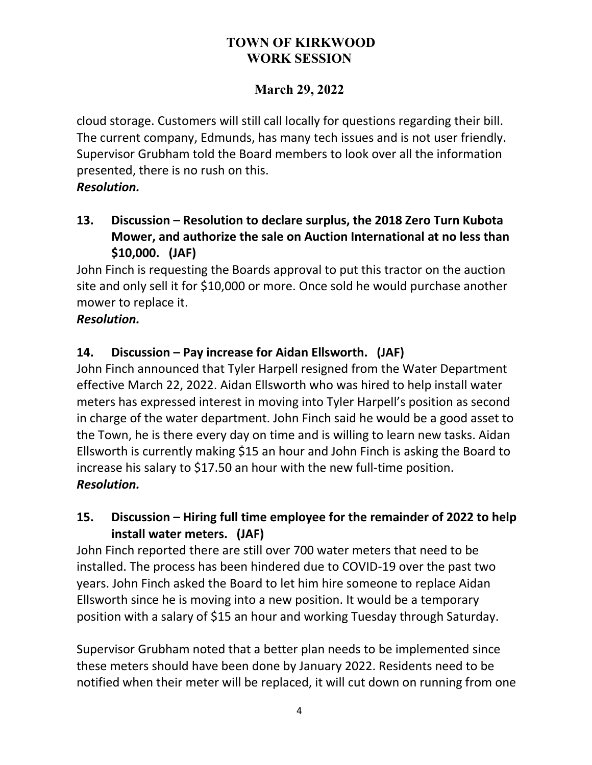# **March 29, 2022**

cloud storage. Customers will still call locally for questions regarding their bill. The current company, Edmunds, has many tech issues and is not user friendly. Supervisor Grubham told the Board members to look over all the information presented, there is no rush on this.

#### *Resolution.*

**13. Discussion – Resolution to declare surplus, the 2018 Zero Turn Kubota Mower, and authorize the sale on Auction International at no less than \$10,000. (JAF)**

John Finch is requesting the Boards approval to put this tractor on the auction site and only sell it for \$10,000 or more. Once sold he would purchase another mower to replace it.

### *Resolution.*

## **14. Discussion – Pay increase for Aidan Ellsworth. (JAF)**

John Finch announced that Tyler Harpell resigned from the Water Department effective March 22, 2022. Aidan Ellsworth who was hired to help install water meters has expressed interest in moving into Tyler Harpell's position as second in charge of the water department. John Finch said he would be a good asset to the Town, he is there every day on time and is willing to learn new tasks. Aidan Ellsworth is currently making \$15 an hour and John Finch is asking the Board to increase his salary to \$17.50 an hour with the new full-time position. *Resolution.*

## **15. Discussion – Hiring full time employee for the remainder of 2022 to help install water meters. (JAF)**

John Finch reported there are still over 700 water meters that need to be installed. The process has been hindered due to COVID-19 over the past two years. John Finch asked the Board to let him hire someone to replace Aidan Ellsworth since he is moving into a new position. It would be a temporary position with a salary of \$15 an hour and working Tuesday through Saturday.

Supervisor Grubham noted that a better plan needs to be implemented since these meters should have been done by January 2022. Residents need to be notified when their meter will be replaced, it will cut down on running from one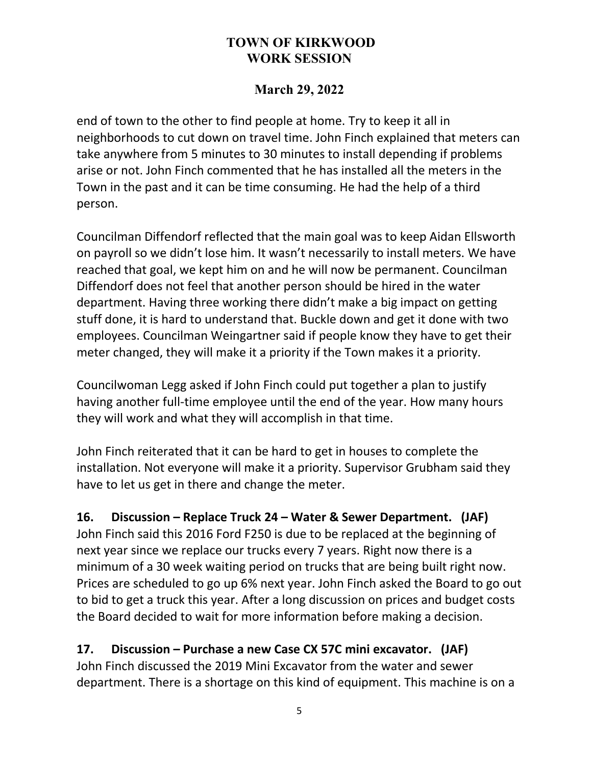### **March 29, 2022**

end of town to the other to find people at home. Try to keep it all in neighborhoods to cut down on travel time. John Finch explained that meters can take anywhere from 5 minutes to 30 minutes to install depending if problems arise or not. John Finch commented that he has installed all the meters in the Town in the past and it can be time consuming. He had the help of a third person.

Councilman Diffendorf reflected that the main goal was to keep Aidan Ellsworth on payroll so we didn't lose him. It wasn't necessarily to install meters. We have reached that goal, we kept him on and he will now be permanent. Councilman Diffendorf does not feel that another person should be hired in the water department. Having three working there didn't make a big impact on getting stuff done, it is hard to understand that. Buckle down and get it done with two employees. Councilman Weingartner said if people know they have to get their meter changed, they will make it a priority if the Town makes it a priority.

Councilwoman Legg asked if John Finch could put together a plan to justify having another full-time employee until the end of the year. How many hours they will work and what they will accomplish in that time.

John Finch reiterated that it can be hard to get in houses to complete the installation. Not everyone will make it a priority. Supervisor Grubham said they have to let us get in there and change the meter.

## **16. Discussion – Replace Truck 24 – Water & Sewer Department. (JAF)**

John Finch said this 2016 Ford F250 is due to be replaced at the beginning of next year since we replace our trucks every 7 years. Right now there is a minimum of a 30 week waiting period on trucks that are being built right now. Prices are scheduled to go up 6% next year. John Finch asked the Board to go out to bid to get a truck this year. After a long discussion on prices and budget costs the Board decided to wait for more information before making a decision.

## **17. Discussion – Purchase a new Case CX 57C mini excavator. (JAF)**

John Finch discussed the 2019 Mini Excavator from the water and sewer department. There is a shortage on this kind of equipment. This machine is on a